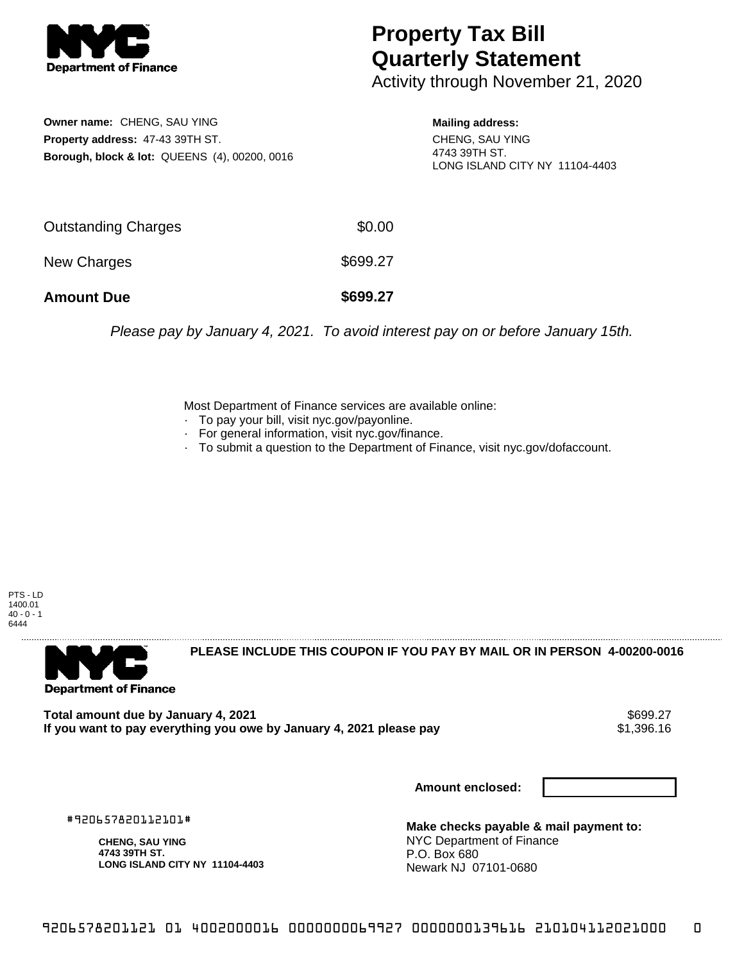

## **Property Tax Bill Quarterly Statement**

Activity through November 21, 2020

**Owner name:** CHENG, SAU YING **Property address:** 47-43 39TH ST. **Borough, block & lot:** QUEENS (4), 00200, 0016

## **Mailing address:**

CHENG, SAU YING 4743 39TH ST. LONG ISLAND CITY NY 11104-4403

| <b>Amount Due</b>   | \$699.27 |
|---------------------|----------|
| New Charges         | \$699.27 |
| Outstanding Charges | \$0.00   |

Please pay by January 4, 2021. To avoid interest pay on or before January 15th.

Most Department of Finance services are available online:

- · To pay your bill, visit nyc.gov/payonline.
- For general information, visit nyc.gov/finance.
- · To submit a question to the Department of Finance, visit nyc.gov/dofaccount.

PTS - LD 1400.01  $40 - 0 - 1$ 6444



**PLEASE INCLUDE THIS COUPON IF YOU PAY BY MAIL OR IN PERSON 4-00200-0016** 

Total amount due by January 4, 2021<br>If you want to pay everything you owe by January 4, 2021 please pay **ship in the set of the set of the s**1,396.16 If you want to pay everything you owe by January 4, 2021 please pay

**Amount enclosed:**

#920657820112101#

**CHENG, SAU YING 4743 39TH ST. LONG ISLAND CITY NY 11104-4403**

**Make checks payable & mail payment to:** NYC Department of Finance P.O. Box 680 Newark NJ 07101-0680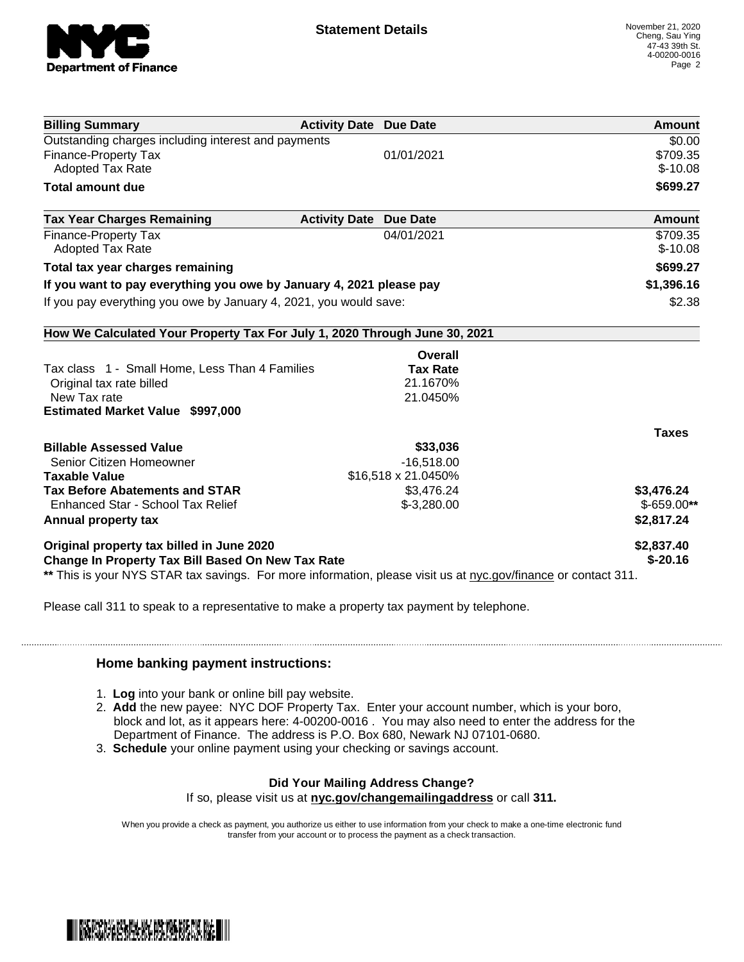

| <b>Billing Summary</b>                                                                                         | <b>Activity Date Due Date</b> | <b>Amount</b> |
|----------------------------------------------------------------------------------------------------------------|-------------------------------|---------------|
| Outstanding charges including interest and payments                                                            |                               | \$0.00        |
| Finance-Property Tax                                                                                           | 01/01/2021                    | \$709.35      |
| <b>Adopted Tax Rate</b>                                                                                        |                               | $$-10.08$     |
| <b>Total amount due</b>                                                                                        |                               | \$699.27      |
| <b>Tax Year Charges Remaining</b>                                                                              | <b>Activity Date Due Date</b> | <b>Amount</b> |
| <b>Finance-Property Tax</b>                                                                                    | 04/01/2021                    | \$709.35      |
| <b>Adopted Tax Rate</b>                                                                                        |                               | $$-10.08$     |
| Total tax year charges remaining                                                                               |                               | \$699.27      |
| If you want to pay everything you owe by January 4, 2021 please pay                                            |                               | \$1,396.16    |
| If you pay everything you owe by January 4, 2021, you would save:                                              |                               | \$2.38        |
| How We Calculated Your Property Tax For July 1, 2020 Through June 30, 2021                                     |                               |               |
|                                                                                                                | Overall                       |               |
| Tax class 1 - Small Home, Less Than 4 Families                                                                 | <b>Tax Rate</b>               |               |
| Original tax rate billed                                                                                       | 21.1670%                      |               |
| New Tax rate                                                                                                   | 21.0450%                      |               |
| <b>Estimated Market Value \$997,000</b>                                                                        |                               |               |
|                                                                                                                |                               | <b>Taxes</b>  |
| <b>Billable Assessed Value</b>                                                                                 | \$33,036                      |               |
| Senior Citizen Homeowner                                                                                       | $-16,518.00$                  |               |
| <b>Taxable Value</b>                                                                                           | \$16,518 x 21.0450%           |               |
| <b>Tax Before Abatements and STAR</b>                                                                          | \$3,476.24                    | \$3,476.24    |
| Enhanced Star - School Tax Relief                                                                              | $$-3,280.00$                  | $$-659.00**$  |
| Annual property tax                                                                                            |                               | \$2,817.24    |
| Original property tax billed in June 2020                                                                      |                               | \$2,837.40    |
| <b>Change In Property Tax Bill Based On New Tax Rate</b>                                                       |                               | $$ -20.16$    |
| ** This is your NYS STAR tax savings. For more information, please visit us at nyc.gov/finance or contact 311. |                               |               |

Please call 311 to speak to a representative to make a property tax payment by telephone.

## **Home banking payment instructions:**

- 1. **Log** into your bank or online bill pay website.
- 2. **Add** the new payee: NYC DOF Property Tax. Enter your account number, which is your boro, block and lot, as it appears here: 4-00200-0016 . You may also need to enter the address for the Department of Finance. The address is P.O. Box 680, Newark NJ 07101-0680.
- 3. **Schedule** your online payment using your checking or savings account.

## **Did Your Mailing Address Change?**

If so, please visit us at **nyc.gov/changemailingaddress** or call **311.**

When you provide a check as payment, you authorize us either to use information from your check to make a one-time electronic fund transfer from your account or to process the payment as a check transaction.